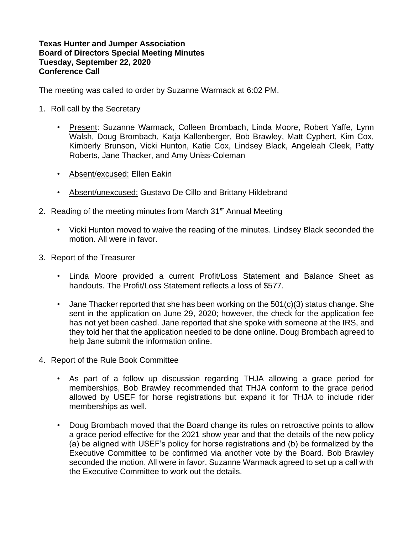## **Texas Hunter and Jumper Association Board of Directors Special Meeting Minutes Tuesday, September 22, 2020 Conference Call**

The meeting was called to order by Suzanne Warmack at 6:02 PM.

- 1. Roll call by the Secretary
	- Present: Suzanne Warmack, Colleen Brombach, Linda Moore, Robert Yaffe, Lynn Walsh, Doug Brombach, Katja Kallenberger, Bob Brawley, Matt Cyphert, Kim Cox, Kimberly Brunson, Vicki Hunton, Katie Cox, Lindsey Black, Angeleah Cleek, Patty Roberts, Jane Thacker, and Amy Uniss-Coleman
	- Absent/excused: Ellen Eakin
	- Absent/unexcused: Gustavo De Cillo and Brittany Hildebrand
- 2. Reading of the meeting minutes from March 31<sup>st</sup> Annual Meeting
	- Vicki Hunton moved to waive the reading of the minutes. Lindsey Black seconded the motion. All were in favor.
- 3. Report of the Treasurer
	- Linda Moore provided a current Profit/Loss Statement and Balance Sheet as handouts. The Profit/Loss Statement reflects a loss of \$577.
	- Jane Thacker reported that she has been working on the 501(c)(3) status change. She sent in the application on June 29, 2020; however, the check for the application fee has not yet been cashed. Jane reported that she spoke with someone at the IRS, and they told her that the application needed to be done online. Doug Brombach agreed to help Jane submit the information online.
- 4. Report of the Rule Book Committee
	- As part of a follow up discussion regarding THJA allowing a grace period for memberships, Bob Brawley recommended that THJA conform to the grace period allowed by USEF for horse registrations but expand it for THJA to include rider memberships as well.
	- Doug Brombach moved that the Board change its rules on retroactive points to allow a grace period effective for the 2021 show year and that the details of the new policy (a) be aligned with USEF's policy for horse registrations and (b) be formalized by the Executive Committee to be confirmed via another vote by the Board. Bob Brawley seconded the motion. All were in favor. Suzanne Warmack agreed to set up a call with the Executive Committee to work out the details.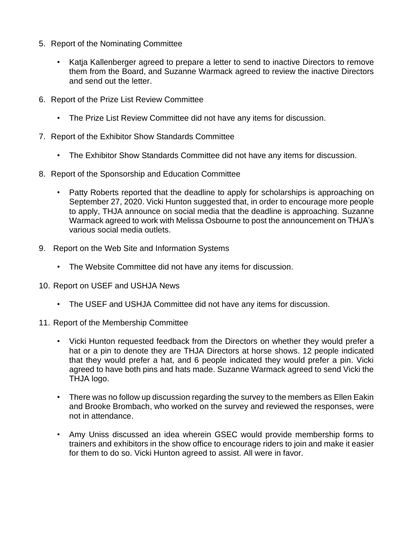- 5. Report of the Nominating Committee
	- Katja Kallenberger agreed to prepare a letter to send to inactive Directors to remove them from the Board, and Suzanne Warmack agreed to review the inactive Directors and send out the letter.
- 6. Report of the Prize List Review Committee
	- The Prize List Review Committee did not have any items for discussion.
- 7. Report of the Exhibitor Show Standards Committee
	- The Exhibitor Show Standards Committee did not have any items for discussion.
- 8. Report of the Sponsorship and Education Committee
	- Patty Roberts reported that the deadline to apply for scholarships is approaching on September 27, 2020. Vicki Hunton suggested that, in order to encourage more people to apply, THJA announce on social media that the deadline is approaching. Suzanne Warmack agreed to work with Melissa Osbourne to post the announcement on THJA's various social media outlets.
- 9. Report on the Web Site and Information Systems
	- The Website Committee did not have any items for discussion.
- 10. Report on USEF and USHJA News
	- The USEF and USHJA Committee did not have any items for discussion.
- 11. Report of the Membership Committee
	- Vicki Hunton requested feedback from the Directors on whether they would prefer a hat or a pin to denote they are THJA Directors at horse shows. 12 people indicated that they would prefer a hat, and 6 people indicated they would prefer a pin. Vicki agreed to have both pins and hats made. Suzanne Warmack agreed to send Vicki the THJA logo.
	- There was no follow up discussion regarding the survey to the members as Ellen Eakin and Brooke Brombach, who worked on the survey and reviewed the responses, were not in attendance.
	- Amy Uniss discussed an idea wherein GSEC would provide membership forms to trainers and exhibitors in the show office to encourage riders to join and make it easier for them to do so. Vicki Hunton agreed to assist. All were in favor.